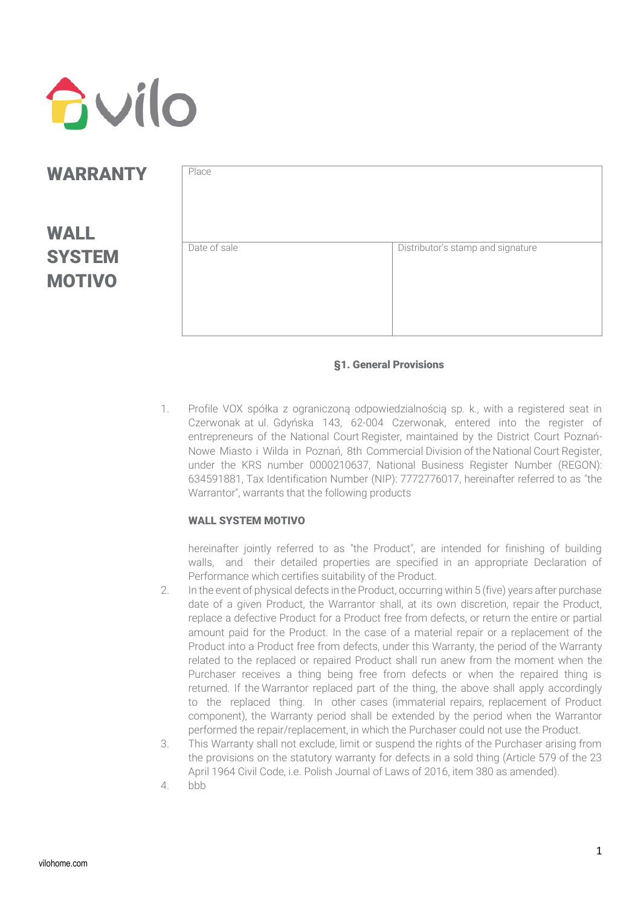

### **WARRANTY**

# WALL **SYSTEM** MOTIVO

| Date of sale | Distributor's stamp and signature |
|--------------|-----------------------------------|
|              |                                   |
|              |                                   |

### §1. General Provisions

1. Profile VOX spółka z ograniczoną odpowiedzialnością sp. k., with a registered seat in Czerwonak at ul. Gdyńska 143, 62-004 Czerwonak, entered into the register of entrepreneurs of the National Court Register, maintained by the District Court Poznań-Nowe Miasto i Wilda in Poznań, 8th Commercial Division of the National Court Register, under the KRS number 0000210637, National Business Register Number (REGON): 634591881, Tax Identification Number (NIP): 7772776017, hereinafter referred to as "the Warrantor", warrants that the following products

### WALL SYSTEM MOTIVO

hereinafter jointly referred to as "the Product", are intended for finishing of building walls, and their detailed properties are specified in an appropriate Declaration of Performance which certifies suitability of the Product.

- 2. In the event of physical defects in the Product, occurring within 5 (five) years after purchase date of a given Product, the Warrantor shall, at its own discretion, repair the Product, replace a defective Product for a Product free from defects, or return the entire or partial amount paid for the Product. In the case of a material repair or a replacement of the Product into a Product free from defects, under this Warranty, the period of the Warranty related to the replaced or repaired Product shall run anew from the moment when the Purchaser receives a thing being free from defects or when the repaired thing is returned. If the Warrantor replaced part of the thing, the above shall apply accordingly to the replaced thing. In other cases (immaterial repairs, replacement of Product component), the Warranty period shall be extended by the period when the Warrantor performed the repair/replacement, in which the Purchaser could not use the Product.
- 3. This Warranty shall not exclude, limit or suspend the rights of the Purchaser arising from the provisions on the statutory warranty for defects in a sold thing (Article 579 of the 23 April 1964 Civil Code, i.e. Polish Journal of Laws of 2016, item 380 as amended).
- 4. bbb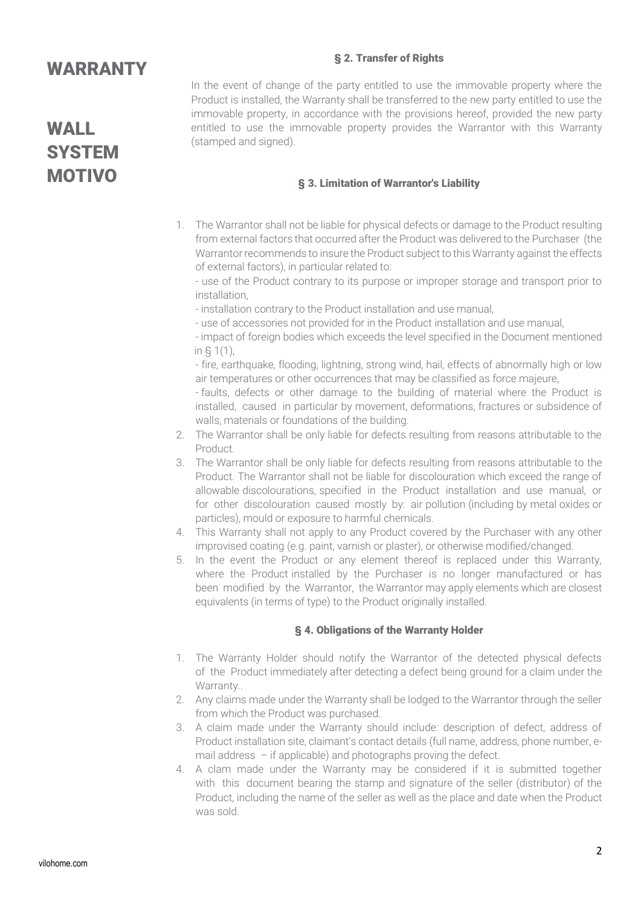### § 2. Transfer of Rights

### **WARRANTY**

WALL **SYSTEM** MOTIVO

In the event of change of the party entitled to use the immovable property where the Product is installed, the Warranty shall be transferred to the new party entitled to use the immovable property, in accordance with the provisions hereof, provided the new party entitled to use the immovable property provides the Warrantor with this Warranty (stamped and signed).

### § 3. Limitation of Warrantor's Liability

1. The Warrantor shall not be liable for physical defects or damage to the Product resulting from external factors that occurred after the Product was delivered to the Purchaser (the Warrantor recommends to insure the Product subject to this Warranty against the effects of external factors), in particular related to:

- use of the Product contrary to its purpose or improper storage and transport prior to installation,

- installation contrary to the Product installation and use manual,
- use of accessories not provided for in the Product installation and use manual,

- impact of foreign bodies which exceeds the level specified in the Document mentioned in § 1(1),

- fire, earthquake, flooding, lightning, strong wind, hail, effects of abnormally high or low air temperatures or other occurrences that may be classified as force majeure,

- faults, defects or other damage to the building of material where the Product is installed, caused in particular by movement, deformations, fractures or subsidence of walls, materials or foundations of the building.

- 2. The Warrantor shall be only liable for defects resulting from reasons attributable to the Product.
- 3. The Warrantor shall be only liable for defects resulting from reasons attributable to the Product. The Warrantor shall not be liable for discolouration which exceed the range of allowable discolourations, specified in the Product installation and use manual, or for other discolouration caused mostly by: air pollution (including by metal oxides or particles), mould or exposure to harmful chemicals.
- 4. This Warranty shall not apply to any Product covered by the Purchaser with any other improvised coating (e.g. paint, varnish or plaster), or otherwise modified/changed.
- 5. In the event the Product or any element thereof is replaced under this Warranty, where the Product installed by the Purchaser is no longer manufactured or has been modified by the Warrantor, the Warrantor may apply elements which are closest equivalents (in terms of type) to the Product originally installed.

#### § 4. Obligations of the Warranty Holder

- 1. The Warranty Holder should notify the Warrantor of the detected physical defects of the Product immediately after detecting a defect being ground for a claim under the Warranty...
- 2. Any claims made under the Warranty shall be lodged to the Warrantor through the seller from which the Product was purchased.
- 3. A claim made under the Warranty should include: description of defect, address of Product installation site, claimant's contact details (full name, address, phone number, email address – if applicable) and photographs proving the defect.
- 4. A clam made under the Warranty may be considered if it is submitted together with this document bearing the stamp and signature of the seller (distributor) of the Product, including the name of the seller as well as the place and date when the Product was sold.